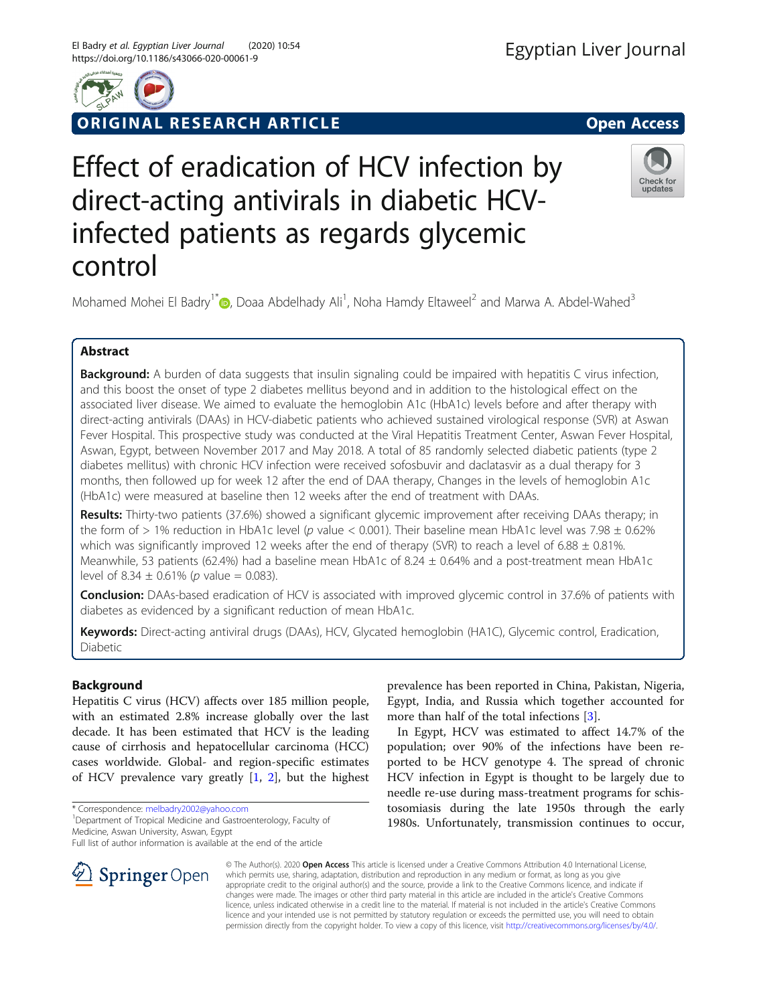

ORIGINAL RESEARCH ARTICLE **External of the Contract Open Access** 

Check for updates

# Effect of eradication of HCV infection by direct-acting antivirals in diabetic HCVinfected patients as regards glycemic control

Mohamed Mohei El Badry<sup>1[\\*](http://orcid.org/0000-0002-9020-8870)</sup> D, Doaa Abdelhady Ali<sup>1</sup>, Noha Hamdy Eltaweel<sup>2</sup> and Marwa A. Abdel-Wahed<sup>3</sup>

# Abstract

Background: A burden of data suggests that insulin signaling could be impaired with hepatitis C virus infection, and this boost the onset of type 2 diabetes mellitus beyond and in addition to the histological effect on the associated liver disease. We aimed to evaluate the hemoglobin A1c (HbA1c) levels before and after therapy with direct-acting antivirals (DAAs) in HCV-diabetic patients who achieved sustained virological response (SVR) at Aswan Fever Hospital. This prospective study was conducted at the Viral Hepatitis Treatment Center, Aswan Fever Hospital, Aswan, Egypt, between November 2017 and May 2018. A total of 85 randomly selected diabetic patients (type 2 diabetes mellitus) with chronic HCV infection were received sofosbuvir and daclatasvir as a dual therapy for 3 months, then followed up for week 12 after the end of DAA therapy, Changes in the levels of hemoglobin A1c (HbA1c) were measured at baseline then 12 weeks after the end of treatment with DAAs.

Results: Thirty-two patients (37.6%) showed a significant glycemic improvement after receiving DAAs therapy; in the form of > 1% reduction in HbA1c level (p value < 0.001). Their baseline mean HbA1c level was 7.98  $\pm$  0.62% which was significantly improved 12 weeks after the end of therapy (SVR) to reach a level of 6.88  $\pm$  0.81%. Meanwhile, 53 patients (62.4%) had a baseline mean HbA1c of 8.24  $\pm$  0.64% and a post-treatment mean HbA1c level of  $8.34 \pm 0.61\%$  (p value = 0.083).

Conclusion: DAAs-based eradication of HCV is associated with improved glycemic control in 37.6% of patients with diabetes as evidenced by a significant reduction of mean HbA1c.

Keywords: Direct-acting antiviral drugs (DAAs), HCV, Glycated hemoglobin (HA1C), Glycemic control, Eradication, Diabetic

# Background

Hepatitis C virus (HCV) affects over 185 million people, with an estimated 2.8% increase globally over the last decade. It has been estimated that HCV is the leading cause of cirrhosis and hepatocellular carcinoma (HCC) cases worldwide. Global- and region-specific estimates of HCV prevalence vary greatly [\[1](#page-5-0), [2\]](#page-5-0), but the highest

\* Correspondence: [melbadry2002@yahoo.com](mailto:melbadry2002@yahoo.com) <sup>1</sup>

<sup>1</sup> Department of Tropical Medicine and Gastroenterology, Faculty of Medicine, Aswan University, Aswan, Egypt

Full list of author information is available at the end of the article

prevalence has been reported in China, Pakistan, Nigeria, Egypt, India, and Russia which together accounted for more than half of the total infections [\[3](#page-5-0)].

In Egypt, HCV was estimated to affect 14.7% of the population; over 90% of the infections have been reported to be HCV genotype 4. The spread of chronic HCV infection in Egypt is thought to be largely due to needle re-use during mass-treatment programs for schistosomiasis during the late 1950s through the early 1980s. Unfortunately, transmission continues to occur,



© The Author(s). 2020 Open Access This article is licensed under a Creative Commons Attribution 4.0 International License, which permits use, sharing, adaptation, distribution and reproduction in any medium or format, as long as you give appropriate credit to the original author(s) and the source, provide a link to the Creative Commons licence, and indicate if changes were made. The images or other third party material in this article are included in the article's Creative Commons licence, unless indicated otherwise in a credit line to the material. If material is not included in the article's Creative Commons licence and your intended use is not permitted by statutory regulation or exceeds the permitted use, you will need to obtain permission directly from the copyright holder. To view a copy of this licence, visit <http://creativecommons.org/licenses/by/4.0/>.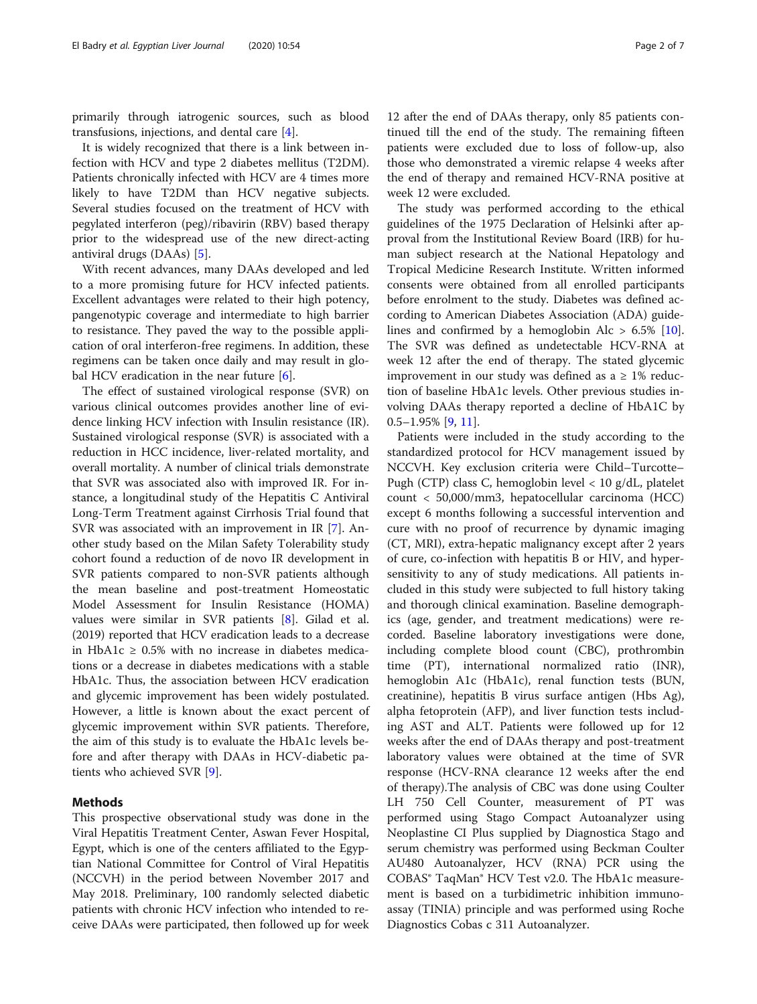primarily through iatrogenic sources, such as blood transfusions, injections, and dental care [\[4](#page-5-0)].

It is widely recognized that there is a link between infection with HCV and type 2 diabetes mellitus (T2DM). Patients chronically infected with HCV are 4 times more likely to have T2DM than HCV negative subjects. Several studies focused on the treatment of HCV with pegylated interferon (peg)/ribavirin (RBV) based therapy prior to the widespread use of the new direct-acting antiviral drugs (DAAs) [[5\]](#page-5-0).

With recent advances, many DAAs developed and led to a more promising future for HCV infected patients. Excellent advantages were related to their high potency, pangenotypic coverage and intermediate to high barrier to resistance. They paved the way to the possible application of oral interferon-free regimens. In addition, these regimens can be taken once daily and may result in global HCV eradication in the near future  $[6]$  $[6]$ .

The effect of sustained virological response (SVR) on various clinical outcomes provides another line of evidence linking HCV infection with Insulin resistance (IR). Sustained virological response (SVR) is associated with a reduction in HCC incidence, liver-related mortality, and overall mortality. A number of clinical trials demonstrate that SVR was associated also with improved IR. For instance, a longitudinal study of the Hepatitis C Antiviral Long-Term Treatment against Cirrhosis Trial found that SVR was associated with an improvement in IR [[7\]](#page-5-0). Another study based on the Milan Safety Tolerability study cohort found a reduction of de novo IR development in SVR patients compared to non-SVR patients although the mean baseline and post-treatment Homeostatic Model Assessment for Insulin Resistance (HOMA) values were similar in SVR patients [\[8](#page-5-0)]. Gilad et al. (2019) reported that HCV eradication leads to a decrease in HbA1c  $\geq$  0.5% with no increase in diabetes medications or a decrease in diabetes medications with a stable HbA1c. Thus, the association between HCV eradication and glycemic improvement has been widely postulated. However, a little is known about the exact percent of glycemic improvement within SVR patients. Therefore, the aim of this study is to evaluate the HbA1c levels before and after therapy with DAAs in HCV-diabetic patients who achieved SVR [\[9](#page-5-0)].

# Methods

This prospective observational study was done in the Viral Hepatitis Treatment Center, Aswan Fever Hospital, Egypt, which is one of the centers affiliated to the Egyptian National Committee for Control of Viral Hepatitis (NCCVH) in the period between November 2017 and May 2018. Preliminary, 100 randomly selected diabetic patients with chronic HCV infection who intended to receive DAAs were participated, then followed up for week

12 after the end of DAAs therapy, only 85 patients continued till the end of the study. The remaining fifteen patients were excluded due to loss of follow-up, also those who demonstrated a viremic relapse 4 weeks after the end of therapy and remained HCV-RNA positive at week 12 were excluded.

The study was performed according to the ethical guidelines of the 1975 Declaration of Helsinki after approval from the Institutional Review Board (IRB) for human subject research at the National Hepatology and Tropical Medicine Research Institute. Written informed consents were obtained from all enrolled participants before enrolment to the study. Diabetes was defined according to American Diabetes Association (ADA) guidelines and confirmed by a hemoglobin Alc  $> 6.5\%$  [\[10](#page-5-0)]. The SVR was defined as undetectable HCV-RNA at week 12 after the end of therapy. The stated glycemic improvement in our study was defined as a  $\geq$  1% reduction of baseline HbA1c levels. Other previous studies involving DAAs therapy reported a decline of HbA1C by  $0.5-1.95\%$  [\[9](#page-5-0), [11](#page-5-0)].

Patients were included in the study according to the standardized protocol for HCV management issued by NCCVH. Key exclusion criteria were Child–Turcotte– Pugh (CTP) class C, hemoglobin level < 10 g/dL, platelet count < 50,000/mm3, hepatocellular carcinoma (HCC) except 6 months following a successful intervention and cure with no proof of recurrence by dynamic imaging (CT, MRI), extra-hepatic malignancy except after 2 years of cure, co-infection with hepatitis B or HIV, and hypersensitivity to any of study medications. All patients included in this study were subjected to full history taking and thorough clinical examination. Baseline demographics (age, gender, and treatment medications) were recorded. Baseline laboratory investigations were done, including complete blood count (CBC), prothrombin time (PT), international normalized ratio (INR), hemoglobin A1c (HbA1c), renal function tests (BUN, creatinine), hepatitis B virus surface antigen (Hbs Ag), alpha fetoprotein (AFP), and liver function tests including AST and ALT. Patients were followed up for 12 weeks after the end of DAAs therapy and post-treatment laboratory values were obtained at the time of SVR response (HCV-RNA clearance 12 weeks after the end of therapy).The analysis of CBC was done using Coulter LH 750 Cell Counter, measurement of PT was performed using Stago Compact Autoanalyzer using Neoplastine CI Plus supplied by Diagnostica Stago and serum chemistry was performed using Beckman Coulter AU480 Autoanalyzer, HCV (RNA) PCR using the COBAS® TaqMan® HCV Test v2.0. The HbA1c measurement is based on a turbidimetric inhibition immunoassay (TINIA) principle and was performed using Roche Diagnostics Cobas c 311 Autoanalyzer.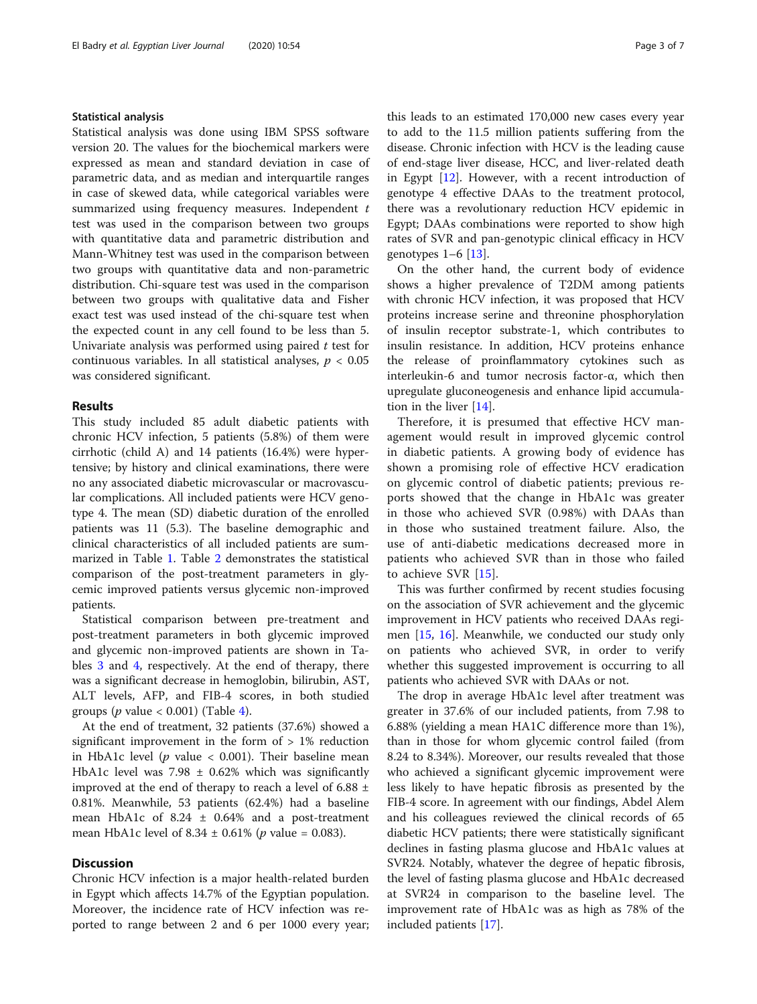## Statistical analysis

Statistical analysis was done using IBM SPSS software version 20. The values for the biochemical markers were expressed as mean and standard deviation in case of parametric data, and as median and interquartile ranges in case of skewed data, while categorical variables were summarized using frequency measures. Independent t test was used in the comparison between two groups with quantitative data and parametric distribution and Mann-Whitney test was used in the comparison between two groups with quantitative data and non-parametric distribution. Chi-square test was used in the comparison between two groups with qualitative data and Fisher exact test was used instead of the chi-square test when the expected count in any cell found to be less than 5. Univariate analysis was performed using paired  $t$  test for continuous variables. In all statistical analyses,  $p < 0.05$ was considered significant.

# Results

This study included 85 adult diabetic patients with chronic HCV infection, 5 patients (5.8%) of them were cirrhotic (child A) and 14 patients (16.4%) were hypertensive; by history and clinical examinations, there were no any associated diabetic microvascular or macrovascular complications. All included patients were HCV genotype 4. The mean (SD) diabetic duration of the enrolled patients was 11 (5.3). The baseline demographic and clinical characteristics of all included patients are summarized in Table [1](#page-3-0). Table [2](#page-3-0) demonstrates the statistical comparison of the post-treatment parameters in glycemic improved patients versus glycemic non-improved patients.

Statistical comparison between pre-treatment and post-treatment parameters in both glycemic improved and glycemic non-improved patients are shown in Tables [3](#page-4-0) and [4,](#page-4-0) respectively. At the end of therapy, there was a significant decrease in hemoglobin, bilirubin, AST, ALT levels, AFP, and FIB-4 scores, in both studied groups ( $p$  value < 0.001) (Table [4\)](#page-4-0).

At the end of treatment, 32 patients (37.6%) showed a significant improvement in the form of  $> 1\%$  reduction in HbA1c level ( $p$  value < 0.001). Their baseline mean HbA1c level was  $7.98 \pm 0.62\%$  which was significantly improved at the end of therapy to reach a level of 6.88 ± 0.81%. Meanwhile, 53 patients (62.4%) had a baseline mean HbA1c of  $8.24 \pm 0.64\%$  and a post-treatment mean HbA1c level of  $8.34 \pm 0.61\%$  (*p* value = 0.083).

# **Discussion**

Chronic HCV infection is a major health-related burden in Egypt which affects 14.7% of the Egyptian population. Moreover, the incidence rate of HCV infection was reported to range between 2 and 6 per 1000 every year; this leads to an estimated 170,000 new cases every year to add to the 11.5 million patients suffering from the disease. Chronic infection with HCV is the leading cause of end-stage liver disease, HCC, and liver-related death in Egypt [[12](#page-5-0)]. However, with a recent introduction of genotype 4 effective DAAs to the treatment protocol, there was a revolutionary reduction HCV epidemic in Egypt; DAAs combinations were reported to show high rates of SVR and pan-genotypic clinical efficacy in HCV genotypes  $1-6$  [\[13\]](#page-5-0).

On the other hand, the current body of evidence shows a higher prevalence of T2DM among patients with chronic HCV infection, it was proposed that HCV proteins increase serine and threonine phosphorylation of insulin receptor substrate-1, which contributes to insulin resistance. In addition, HCV proteins enhance the release of proinflammatory cytokines such as interleukin-6 and tumor necrosis factor-α, which then upregulate gluconeogenesis and enhance lipid accumulation in the liver [\[14](#page-5-0)].

Therefore, it is presumed that effective HCV management would result in improved glycemic control in diabetic patients. A growing body of evidence has shown a promising role of effective HCV eradication on glycemic control of diabetic patients; previous reports showed that the change in HbA1c was greater in those who achieved SVR (0.98%) with DAAs than in those who sustained treatment failure. Also, the use of anti-diabetic medications decreased more in patients who achieved SVR than in those who failed to achieve SVR [[15\]](#page-6-0).

This was further confirmed by recent studies focusing on the association of SVR achievement and the glycemic improvement in HCV patients who received DAAs regimen [[15,](#page-6-0) [16](#page-6-0)]. Meanwhile, we conducted our study only on patients who achieved SVR, in order to verify whether this suggested improvement is occurring to all patients who achieved SVR with DAAs or not.

The drop in average HbA1c level after treatment was greater in 37.6% of our included patients, from 7.98 to 6.88% (yielding a mean HA1C difference more than 1%), than in those for whom glycemic control failed (from 8.24 to 8.34%). Moreover, our results revealed that those who achieved a significant glycemic improvement were less likely to have hepatic fibrosis as presented by the FIB-4 score. In agreement with our findings, Abdel Alem and his colleagues reviewed the clinical records of 65 diabetic HCV patients; there were statistically significant declines in fasting plasma glucose and HbA1c values at SVR24. Notably, whatever the degree of hepatic fibrosis, the level of fasting plasma glucose and HbA1c decreased at SVR24 in comparison to the baseline level. The improvement rate of HbA1c was as high as 78% of the included patients [[17\]](#page-6-0).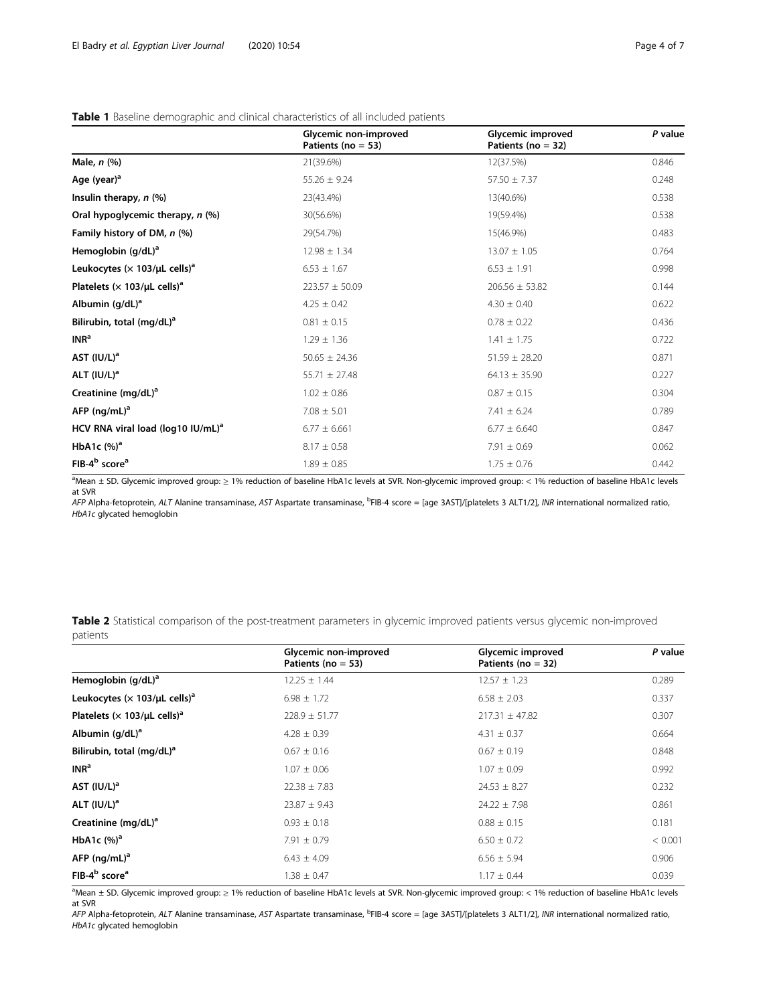<span id="page-3-0"></span>

|  | <b>Table 1</b> Baseline demographic and clinical characteristics of all included patients |  |  |  |
|--|-------------------------------------------------------------------------------------------|--|--|--|

|                                                  | Glycemic non-improved<br>Patients ( $no = 53$ ) | Glycemic improved<br>Patients ( $no = 32$ ) | P value |
|--------------------------------------------------|-------------------------------------------------|---------------------------------------------|---------|
| Male, $n$ $%$                                    | 21(39.6%)                                       | 12(37.5%)                                   | 0.846   |
| Age (year) <sup>a</sup>                          | $55.26 \pm 9.24$                                | $57.50 \pm 7.37$                            | 0.248   |
| Insulin therapy, $n$ (%)                         | 23(43.4%)                                       | 13(40.6%)                                   | 0.538   |
| Oral hypoglycemic therapy, n (%)                 | 30(56.6%)                                       | 19(59.4%)                                   | 0.538   |
| Family history of DM, n (%)                      | 29(54.7%)                                       | 15(46.9%)                                   | 0.483   |
| Hemoglobin (g/dL) <sup>a</sup>                   | $12.98 \pm 1.34$                                | $13.07 \pm 1.05$                            | 0.764   |
| Leukocytes ( $\times$ 103/µL cells) <sup>a</sup> | $6.53 \pm 1.67$                                 | $6.53 \pm 1.91$                             | 0.998   |
| Platelets ( $\times$ 103/µL cells) <sup>a</sup>  | $223.57 \pm 50.09$                              | $206.56 \pm 53.82$                          | 0.144   |
| Albumin $(q/dL)^a$                               | $4.25 \pm 0.42$                                 | $4.30 \pm 0.40$                             | 0.622   |
| Bilirubin, total (mg/dL) <sup>a</sup>            | $0.81 \pm 0.15$                                 | $0.78 \pm 0.22$                             | 0.436   |
| INR <sup>a</sup>                                 | $1.29 \pm 1.36$                                 | $1.41 \pm 1.75$                             | 0.722   |
| AST $(IU/L)^a$                                   | $50.65 \pm 24.36$                               | $51.59 \pm 28.20$                           | 0.871   |
| ALT $(IU/L)^a$                                   | $55.71 \pm 27.48$                               | $64.13 \pm 35.90$                           | 0.227   |
| Creatinine (mg/dL) <sup>a</sup>                  | $1.02 \pm 0.86$                                 | $0.87 \pm 0.15$                             | 0.304   |
| AFP $(ng/mL)^a$                                  | $7.08 \pm 5.01$                                 | $7.41 \pm 6.24$                             | 0.789   |
| HCV RNA viral load ( $log10$ IU/mL) <sup>a</sup> | $6.77 \pm 6.661$                                | $6.77 \pm 6.640$                            | 0.847   |
| HbA1c $(%)a$                                     | $8.17 \pm 0.58$                                 | $7.91 \pm 0.69$                             | 0.062   |
| FIB-4 <sup>b</sup> score <sup>a</sup>            | $1.89 \pm 0.85$                                 | $1.75 \pm 0.76$                             | 0.442   |

a Mean ± SD. Glycemic improved group: ≥ 1% reduction of baseline HbA1c levels at SVR. Non-glycemic improved group: < 1% reduction of baseline HbA1c levels at SVR

AFP Alpha-fetoprotein, ALT Alanine transaminase, AST Aspartate transaminase, <sup>b</sup>FIB-4 score = [age 3AST]/[platelets 3 ALT1/2], INR international normalized ratio,<br>Hha Ic glycated hemoglobin HbA1c glycated hemoglobin

Table 2 Statistical comparison of the post-treatment parameters in glycemic improved patients versus glycemic non-improved patients

|                                                  | Glycemic non-improved<br>Patients ( $no = 53$ ) | Glycemic improved<br>Patients ( $no = 32$ ) | P value |
|--------------------------------------------------|-------------------------------------------------|---------------------------------------------|---------|
| Hemoglobin $(q/dL)^a$                            | $12.25 \pm 1.44$                                | $12.57 \pm 1.23$                            | 0.289   |
| Leukocytes ( $\times$ 103/µL cells) <sup>a</sup> | $6.98 \pm 1.72$                                 | $6.58 \pm 2.03$                             | 0.337   |
| Platelets ( $\times$ 103/µL cells) <sup>a</sup>  | $228.9 \pm 51.77$                               | $217.31 \pm 47.82$                          | 0.307   |
| Albumin $(q/dL)^a$                               | $4.28 \pm 0.39$                                 | $4.31 \pm 0.37$                             | 0.664   |
| Bilirubin, total (mg/dL) <sup>a</sup>            | $0.67 \pm 0.16$                                 | $0.67 \pm 0.19$                             | 0.848   |
| INR <sup>a</sup>                                 | $1.07 \pm 0.06$                                 | $1.07 \pm 0.09$                             | 0.992   |
| AST $(IU/L)^a$                                   | $22.38 \pm 7.83$                                | $24.53 \pm 8.27$                            | 0.232   |
| ALT $(IU/L)^a$                                   | $23.87 \pm 9.43$                                | $24.22 \pm 7.98$                            | 0.861   |
| Creatinine (mg/dL) <sup>a</sup>                  | $0.93 \pm 0.18$                                 | $0.88 \pm 0.15$                             | 0.181   |
| HbA1c $(%)a$                                     | $7.91 \pm 0.79$                                 | $6.50 \pm 0.72$                             | < 0.001 |
| AFP $(nq/mL)^a$                                  | $6.43 \pm 4.09$                                 | $6.56 \pm 5.94$                             | 0.906   |
| FIB-4 <sup>b</sup> score <sup>a</sup>            | $1.38 \pm 0.47$                                 | $1.17 \pm 0.44$                             | 0.039   |

a Mean ± SD. Glycemic improved group: ≥ 1% reduction of baseline HbA1c levels at SVR. Non-glycemic improved group: < 1% reduction of baseline HbA1c levels at SVR

AFP Alpha-fetoprotein, ALT Alanine transaminase, AST Aspartate transaminase, <sup>b</sup>FIB-4 score = [age 3AST]/[platelets 3 ALT1/2], INR international normalized ratio,<br>Hh41c glycated hemoglobin HbA1c glycated hemoglobin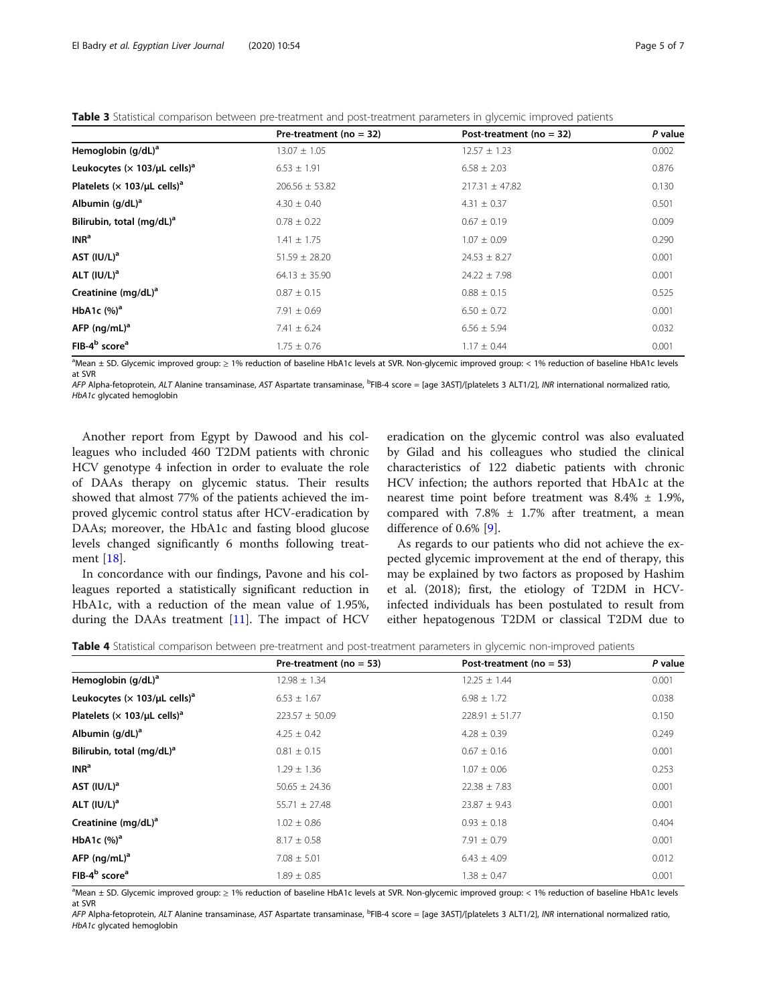<span id="page-4-0"></span>Table 3 Statistical comparison between pre-treatment and post-treatment parameters in glycemic improved patients

|                                                  | Pre-treatment ( $no = 32$ ) | Post-treatment ( $no = 32$ ) | P value |
|--------------------------------------------------|-----------------------------|------------------------------|---------|
| Hemoglobin $(q/dL)^a$                            | $13.07 \pm 1.05$            | $12.57 \pm 1.23$             | 0.002   |
| Leukocytes ( $\times$ 103/µL cells) <sup>a</sup> | $6.53 \pm 1.91$             | $6.58 \pm 2.03$              | 0.876   |
| Platelets ( $\times$ 103/µL cells) <sup>a</sup>  | $206.56 \pm 53.82$          | $217.31 \pm 47.82$           | 0.130   |
| Albumin $(q/dL)^a$                               | $4.30 \pm 0.40$             | $4.31 \pm 0.37$              | 0.501   |
| Bilirubin, total (mg/dL) <sup>a</sup>            | $0.78 \pm 0.22$             | $0.67 \pm 0.19$              | 0.009   |
| INR <sup>a</sup>                                 | $1.41 \pm 1.75$             | $1.07 \pm 0.09$              | 0.290   |
| AST $(IV/L)^a$                                   | $51.59 \pm 28.20$           | $24.53 \pm 8.27$             | 0.001   |
| ALT $(IU/L)^a$                                   | $64.13 \pm 35.90$           | $24.22 \pm 7.98$             | 0.001   |
| Creatinine (mg/dL) <sup>a</sup>                  | $0.87 \pm 0.15$             | $0.88 \pm 0.15$              | 0.525   |
| HbA1c $(%)^a$                                    | $7.91 \pm 0.69$             | $6.50 \pm 0.72$              | 0.001   |
| AFP $(nq/mL)^a$                                  | $7.41 \pm 6.24$             | $6.56 \pm 5.94$              | 0.032   |
| FIB-4 <sup>b</sup> score <sup>a</sup>            | $1.75 \pm 0.76$             | $1.17 \pm 0.44$              | 0.001   |

a Mean ± SD. Glycemic improved group: ≥ 1% reduction of baseline HbA1c levels at SVR. Non-glycemic improved group: < 1% reduction of baseline HbA1c levels at SVR

AFP Alpha-fetoprotein, ALT Alanine transaminase, AST Aspartate transaminase, <sup>b</sup>FIB-4 score = [age 3AST]/[platelets 3 ALT1/2], INR international normalized ratio,<br>Hh41c glycated hemoglobin HbA1c glycated hemoglobin

Another report from Egypt by Dawood and his colleagues who included 460 T2DM patients with chronic HCV genotype 4 infection in order to evaluate the role of DAAs therapy on glycemic status. Their results showed that almost 77% of the patients achieved the improved glycemic control status after HCV-eradication by DAAs; moreover, the HbA1c and fasting blood glucose levels changed significantly 6 months following treatment [[18\]](#page-6-0).

In concordance with our findings, Pavone and his colleagues reported a statistically significant reduction in HbA1c, with a reduction of the mean value of 1.95%, during the DAAs treatment [\[11](#page-5-0)]. The impact of HCV

eradication on the glycemic control was also evaluated by Gilad and his colleagues who studied the clinical characteristics of 122 diabetic patients with chronic HCV infection; the authors reported that HbA1c at the nearest time point before treatment was 8.4% ± 1.9%, compared with  $7.8\% \pm 1.7\%$  after treatment, a mean difference of 0.6% [[9\]](#page-5-0).

As regards to our patients who did not achieve the expected glycemic improvement at the end of therapy, this may be explained by two factors as proposed by Hashim et al. (2018); first, the etiology of T2DM in HCVinfected individuals has been postulated to result from either hepatogenous T2DM or classical T2DM due to

Table 4 Statistical comparison between pre-treatment and post-treatment parameters in glycemic non-improved patients

|                                                  | Pre-treatment ( $no = 53$ ) | Post-treatment ( $no = 53$ ) | P value |
|--------------------------------------------------|-----------------------------|------------------------------|---------|
| Hemoglobin $(g/dL)^a$                            | $12.98 \pm 1.34$            | $12.25 \pm 1.44$             | 0.001   |
| Leukocytes ( $\times$ 103/µL cells) <sup>a</sup> | $6.53 \pm 1.67$             | $6.98 \pm 1.72$              | 0.038   |
| Platelets ( $\times$ 103/µL cells) <sup>a</sup>  | $223.57 \pm 50.09$          | $228.91 \pm 51.77$           | 0.150   |
| Albumin $(q/dL)^a$                               | $4.25 \pm 0.42$             | $4.28 \pm 0.39$              | 0.249   |
| Bilirubin, total (mg/dL) <sup>a</sup>            | $0.81 \pm 0.15$             | $0.67 \pm 0.16$              | 0.001   |
| INR <sup>a</sup>                                 | $1.29 \pm 1.36$             | $1.07 \pm 0.06$              | 0.253   |
| AST $(IU/L)^a$                                   | $50.65 \pm 24.36$           | $22.38 \pm 7.83$             | 0.001   |
| ALT $\left(\frac{ U/L }{a}\right)$               | $55.71 \pm 27.48$           | $23.87 \pm 9.43$             | 0.001   |
| Creatinine $(mg/dL)^a$                           | $1.02 \pm 0.86$             | $0.93 \pm 0.18$              | 0.404   |
| HbA1c $(%)a$                                     | $8.17 \pm 0.58$             | $7.91 \pm 0.79$              | 0.001   |
| AFP $(nq/mL)^a$                                  | $7.08 \pm 5.01$             | $6.43 \pm 4.09$              | 0.012   |
| FIB-4 <sup>b</sup> score <sup>a</sup>            | $1.89 \pm 0.85$             | $1.38 \pm 0.47$              | 0.001   |

a Mean ± SD. Glycemic improved group: ≥ 1% reduction of baseline HbA1c levels at SVR. Non-glycemic improved group: < 1% reduction of baseline HbA1c levels at SVR

AFP Alpha-fetoprotein, ALT Alanine transaminase, AST Aspartate transaminase, <sup>b</sup>FIB-4 score = [age 3AST]/[platelets 3 ALT1/2], INR international normalized ratio,<br>Hh41c glycated hemoglobin HbA1c glycated hemoglobin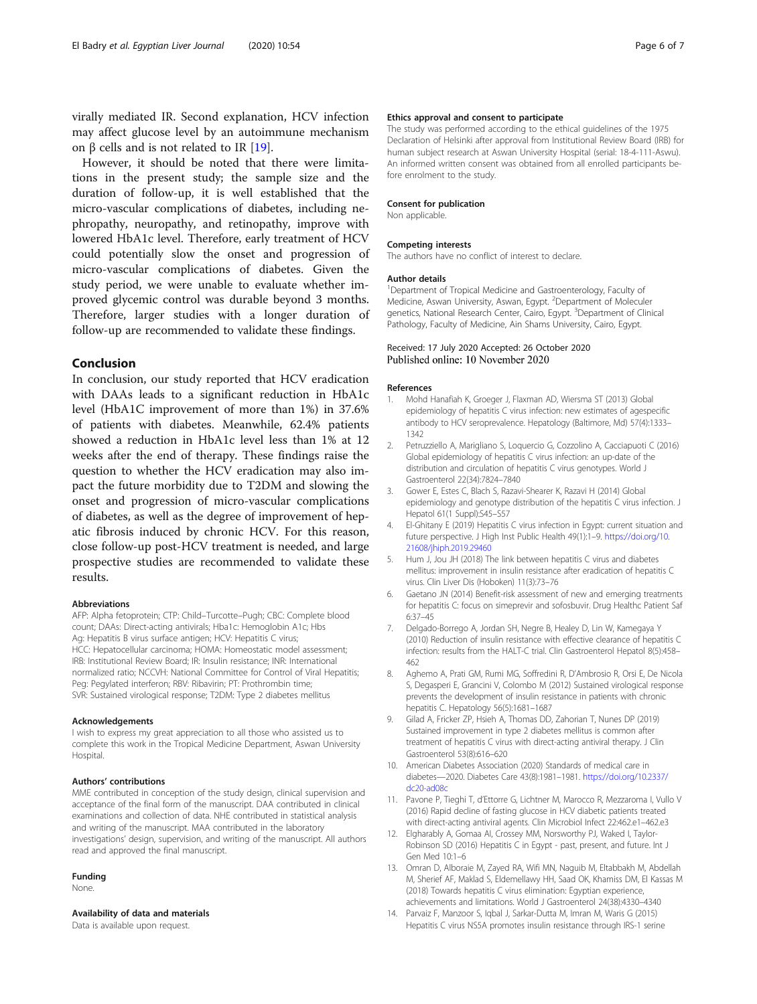<span id="page-5-0"></span>virally mediated IR. Second explanation, HCV infection may affect glucose level by an autoimmune mechanism on β cells and is not related to IR [\[19\]](#page-6-0).

However, it should be noted that there were limitations in the present study; the sample size and the duration of follow-up, it is well established that the micro-vascular complications of diabetes, including nephropathy, neuropathy, and retinopathy, improve with lowered HbA1c level. Therefore, early treatment of HCV could potentially slow the onset and progression of micro-vascular complications of diabetes. Given the study period, we were unable to evaluate whether improved glycemic control was durable beyond 3 months. Therefore, larger studies with a longer duration of follow-up are recommended to validate these findings.

# Conclusion

In conclusion, our study reported that HCV eradication with DAAs leads to a significant reduction in HbA1c level (HbA1C improvement of more than 1%) in 37.6% of patients with diabetes. Meanwhile, 62.4% patients showed a reduction in HbA1c level less than 1% at 12 weeks after the end of therapy. These findings raise the question to whether the HCV eradication may also impact the future morbidity due to T2DM and slowing the onset and progression of micro-vascular complications of diabetes, as well as the degree of improvement of hepatic fibrosis induced by chronic HCV. For this reason, close follow-up post-HCV treatment is needed, and large prospective studies are recommended to validate these results.

#### Abbreviations

AFP: Alpha fetoprotein; CTP: Child–Turcotte–Pugh; CBC: Complete blood count; DAAs: Direct-acting antivirals; Hba1c: Hemoglobin A1c; Hbs Ag: Hepatitis B virus surface antigen; HCV: Hepatitis C virus; HCC: Hepatocellular carcinoma; HOMA: Homeostatic model assessment; IRB: Institutional Review Board; IR: Insulin resistance; INR: International normalized ratio; NCCVH: National Committee for Control of Viral Hepatitis; Peg: Pegylated interferon; RBV: Ribavirin; PT: Prothrombin time; SVR: Sustained virological response; T2DM: Type 2 diabetes mellitus

#### Acknowledgements

I wish to express my great appreciation to all those who assisted us to complete this work in the Tropical Medicine Department, Aswan University Hospital.

#### Authors' contributions

MME contributed in conception of the study design, clinical supervision and acceptance of the final form of the manuscript. DAA contributed in clinical examinations and collection of data. NHE contributed in statistical analysis and writing of the manuscript. MAA contributed in the laboratory investigations' design, supervision, and writing of the manuscript. All authors read and approved the final manuscript.

#### Funding

None.

## Availability of data and materials

Data is available upon request.

#### Ethics approval and consent to participate

The study was performed according to the ethical guidelines of the 1975 Declaration of Helsinki after approval from Institutional Review Board (IRB) for human subject research at Aswan University Hospital (serial: 18-4-111-Aswu). An informed written consent was obtained from all enrolled participants before enrolment to the study.

#### Consent for publication

Non applicable.

#### Competing interests

The authors have no conflict of interest to declare.

#### Author details

<sup>1</sup>Department of Tropical Medicine and Gastroenterology, Faculty of Medicine, Aswan University, Aswan, Egypt. <sup>2</sup>Department of Moleculer genetics, National Research Center, Cairo, Egypt. <sup>3</sup>Department of Clinical Pathology, Faculty of Medicine, Ain Shams University, Cairo, Egypt.

### Received: 17 July 2020 Accepted: 26 October 2020 Published online: 10 November 2020

#### References

- 1. Mohd Hanafiah K, Groeger J, Flaxman AD, Wiersma ST (2013) Global epidemiology of hepatitis C virus infection: new estimates of agespecific antibody to HCV seroprevalence. Hepatology (Baltimore, Md) 57(4):1333– 1342
- 2. Petruzziello A, Marigliano S, Loquercio G, Cozzolino A, Cacciapuoti C (2016) Global epidemiology of hepatitis C virus infection: an up-date of the distribution and circulation of hepatitis C virus genotypes. World J Gastroenterol 22(34):7824–7840
- 3. Gower E, Estes C, Blach S, Razavi-Shearer K, Razavi H (2014) Global epidemiology and genotype distribution of the hepatitis C virus infection. J Hepatol 61(1 Suppl):S45–S57
- 4. El-Ghitany E (2019) Hepatitis C virus infection in Egypt: current situation and future perspective. J High Inst Public Health 49(1):1–9. [https://doi.org/10.](https://doi.org/10.21608/jhiph.2019.29460) [21608/jhiph.2019.29460](https://doi.org/10.21608/jhiph.2019.29460)
- 5. Hum J, Jou JH (2018) The link between hepatitis C virus and diabetes mellitus: improvement in insulin resistance after eradication of hepatitis C virus. Clin Liver Dis (Hoboken) 11(3):73–76
- 6. Gaetano JN (2014) Benefit-risk assessment of new and emerging treatments for hepatitis C: focus on simeprevir and sofosbuvir. Drug Healthc Patient Saf 6:37–45
- 7. Delgado-Borrego A, Jordan SH, Negre B, Healey D, Lin W, Kamegaya Y (2010) Reduction of insulin resistance with effective clearance of hepatitis C infection: results from the HALT-C trial. Clin Gastroenterol Hepatol 8(5):458– 462
- 8. Aghemo A, Prati GM, Rumi MG, Soffredini R, D'Ambrosio R, Orsi E, De Nicola S, Degasperi E, Grancini V, Colombo M (2012) Sustained virological response prevents the development of insulin resistance in patients with chronic hepatitis C. Hepatology 56(5):1681–1687
- 9. Gilad A, Fricker ZP, Hsieh A, Thomas DD, Zahorian T, Nunes DP (2019) Sustained improvement in type 2 diabetes mellitus is common after treatment of hepatitis C virus with direct-acting antiviral therapy. J Clin Gastroenterol 53(8):616–620
- 10. American Diabetes Association (2020) Standards of medical care in diabetes—2020. Diabetes Care 43(8):1981–1981. [https://doi.org/10.2337/](https://doi.org/10.2337/dc20-ad08c) [dc20-ad08c](https://doi.org/10.2337/dc20-ad08c)
- 11. Pavone P, Tieghi T, d'Ettorre G, Lichtner M, Marocco R, Mezzaroma I, Vullo V (2016) Rapid decline of fasting glucose in HCV diabetic patients treated with direct-acting antiviral agents. Clin Microbiol Infect 22:462.e1–462.e3
- 12. Elgharably A, Gomaa AI, Crossey MM, Norsworthy PJ, Waked I, Taylor-Robinson SD (2016) Hepatitis C in Egypt - past, present, and future. Int J Gen Med 10:1–6
- 13. Omran D, Alboraie M, Zayed RA, Wifi MN, Naguib M, Eltabbakh M, Abdellah M, Sherief AF, Maklad S, Eldemellawy HH, Saad OK, Khamiss DM, El Kassas M (2018) Towards hepatitis C virus elimination: Egyptian experience, achievements and limitations. World J Gastroenterol 24(38):4330–4340
- 14. Parvaiz F, Manzoor S, Iqbal J, Sarkar-Dutta M, Imran M, Waris G (2015) Hepatitis C virus NS5A promotes insulin resistance through IRS-1 serine